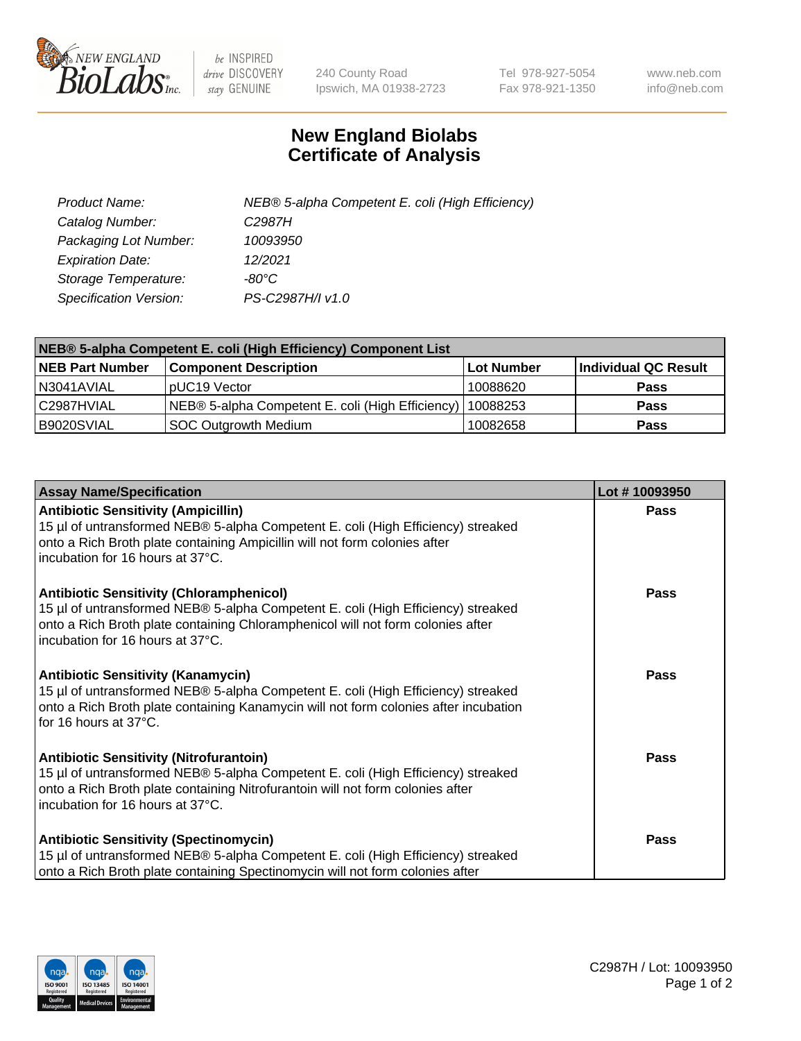

 $be$  INSPIRED drive DISCOVERY stay GENUINE

240 County Road Ipswich, MA 01938-2723 Tel 978-927-5054 Fax 978-921-1350 www.neb.com info@neb.com

## **New England Biolabs Certificate of Analysis**

| Product Name:           | NEB® 5-alpha Competent E. coli (High Efficiency) |
|-------------------------|--------------------------------------------------|
| Catalog Number:         | C <sub>2987</sub> H                              |
| Packaging Lot Number:   | 10093950                                         |
| <b>Expiration Date:</b> | 12/2021                                          |
| Storage Temperature:    | -80°C                                            |
| Specification Version:  | PS-C2987H/I v1.0                                 |

| NEB® 5-alpha Competent E. coli (High Efficiency) Component List |                                                  |            |                      |  |
|-----------------------------------------------------------------|--------------------------------------------------|------------|----------------------|--|
| <b>NEB Part Number</b>                                          | <b>Component Description</b>                     | Lot Number | Individual QC Result |  |
| N3041AVIAL                                                      | pUC19 Vector                                     | 10088620   | <b>Pass</b>          |  |
| C2987HVIAL                                                      | NEB® 5-alpha Competent E. coli (High Efficiency) | 10088253   | <b>Pass</b>          |  |
| B9020SVIAL                                                      | <b>SOC Outgrowth Medium</b>                      | 10082658   | <b>Pass</b>          |  |

| <b>Assay Name/Specification</b>                                                                                                                                                                                                                            | Lot #10093950 |
|------------------------------------------------------------------------------------------------------------------------------------------------------------------------------------------------------------------------------------------------------------|---------------|
| <b>Antibiotic Sensitivity (Ampicillin)</b><br>15 µl of untransformed NEB® 5-alpha Competent E. coli (High Efficiency) streaked<br>onto a Rich Broth plate containing Ampicillin will not form colonies after<br>incubation for 16 hours at 37°C.           | <b>Pass</b>   |
| <b>Antibiotic Sensitivity (Chloramphenicol)</b><br>15 µl of untransformed NEB® 5-alpha Competent E. coli (High Efficiency) streaked<br>onto a Rich Broth plate containing Chloramphenicol will not form colonies after<br>incubation for 16 hours at 37°C. | Pass          |
| Antibiotic Sensitivity (Kanamycin)<br>15 µl of untransformed NEB® 5-alpha Competent E. coli (High Efficiency) streaked<br>onto a Rich Broth plate containing Kanamycin will not form colonies after incubation<br>for 16 hours at 37°C.                    | Pass          |
| <b>Antibiotic Sensitivity (Nitrofurantoin)</b><br>15 µl of untransformed NEB® 5-alpha Competent E. coli (High Efficiency) streaked<br>onto a Rich Broth plate containing Nitrofurantoin will not form colonies after<br>incubation for 16 hours at 37°C.   | <b>Pass</b>   |
| <b>Antibiotic Sensitivity (Spectinomycin)</b><br>15 µl of untransformed NEB® 5-alpha Competent E. coli (High Efficiency) streaked<br>onto a Rich Broth plate containing Spectinomycin will not form colonies after                                         | Pass          |